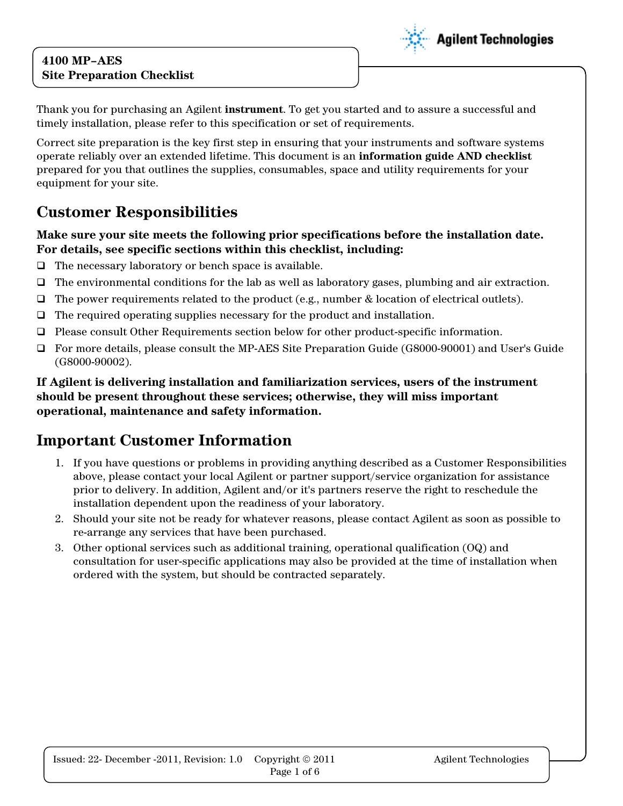### **4100 MP–AES Site Preparation Checklist**



Thank you for purchasing an Agilent **instrument**. To get you started and to assure a successful and timely installation, please refer to this specification or set of requirements.

Correct site preparation is the key first step in ensuring that your instruments and software systems operate reliably over an extended lifetime. This document is an **information guide AND checklist** prepared for you that outlines the supplies, consumables, space and utility requirements for your equipment for your site.

# **Customer Responsibilities**

#### **Make sure your site meets the following prior specifications before the installation date. For details, see specific sections within this checklist, including:**

- $\Box$  The necessary laboratory or bench space is available.
- $\Box$  The environmental conditions for the lab as well as laboratory gases, plumbing and air extraction.
- $\Box$  The power requirements related to the product (e.g., number & location of electrical outlets).
- $\Box$  The required operating supplies necessary for the product and installation.
- Please consult Other Requirements section below for other product-specific information.
- For more details, please consult the MP-AES Site Preparation Guide (G8000-90001) and User's Guide (G8000-90002).

**If Agilent is delivering installation and familiarization services, users of the instrument should be present throughout these services; otherwise, they will miss important operational, maintenance and safety information.**

## **Important Customer Information**

- 1. If you have questions or problems in providing anything described as a Customer Responsibilities above, please contact your local Agilent or partner support/service organization for assistance prior to delivery. In addition, Agilent and/or it's partners reserve the right to reschedule the installation dependent upon the readiness of your laboratory.
- 2. Should your site not be ready for whatever reasons, please contact Agilent as soon as possible to re-arrange any services that have been purchased.
- 3. Other optional services such as additional training, operational qualification (OQ) and consultation for user-specific applications may also be provided at the time of installation when ordered with the system, but should be contracted separately.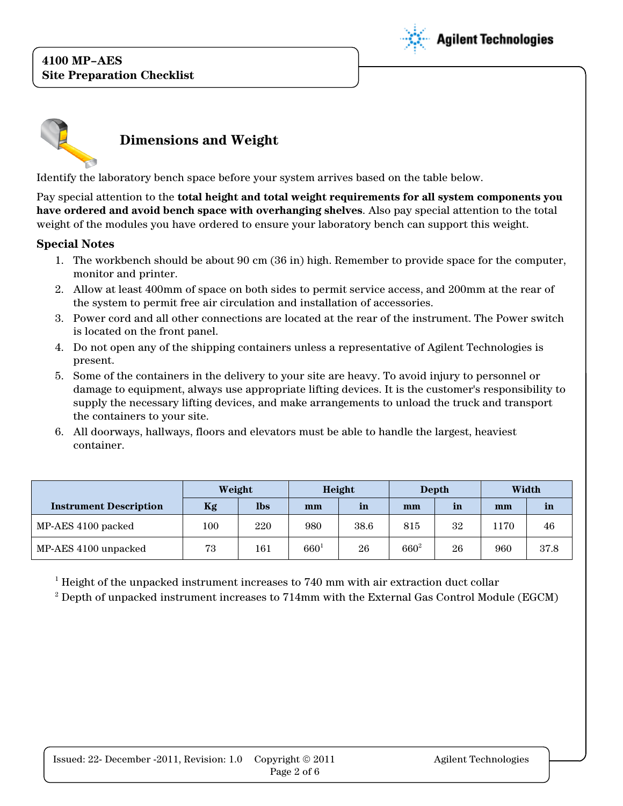### **4100 MP–AES Site Preparation Checklist**





Identify the laboratory bench space before your system arrives based on the table below.

Pay special attention to the **total height and total weight requirements for all system components you have ordered and avoid bench space with overhanging shelves**. Also pay special attention to the total weight of the modules you have ordered to ensure your laboratory bench can support this weight.

#### **Special Notes**

- 1. The workbench should be about 90 cm (36 in) high. Remember to provide space for the computer, monitor and printer.
- 2. Allow at least 400mm of space on both sides to permit service access, and 200mm at the rear of the system to permit free air circulation and installation of accessories.
- 3. Power cord and all other connections are located at the rear of the instrument. The Power switch is located on the front panel.
- 4. Do not open any of the shipping containers unless a representative of Agilent Technologies is present.
- 5. Some of the containers in the delivery to your site are heavy. To avoid injury to personnel or damage to equipment, always use appropriate lifting devices. It is the customer's responsibility to supply the necessary lifting devices, and make arrangements to unload the truck and transport the containers to your site.
- 6. All doorways, hallways, floors and elevators must be able to handle the largest, heaviest container.

|                               | Weight |            | Height    |      | Depth     |              | Width |      |
|-------------------------------|--------|------------|-----------|------|-----------|--------------|-------|------|
| <b>Instrument Description</b> | Kg     | <b>lbs</b> | mm        | in   | mm        | $\mathbf{m}$ | mm    | in   |
| MP-AES 4100 packed            | 100    | 220        | 980       | 38.6 | 815       | 32           | 170   | 46   |
| MP-AES 4100 unpacked          | 73     | 161        | $660^{1}$ | 26   | $660^{2}$ | 26           | 960   | 37.8 |

 $1$  Height of the unpacked instrument increases to 740 mm with air extraction duct collar

<sup>2</sup> Depth of unpacked instrument increases to 714mm with the External Gas Control Module (EGCM)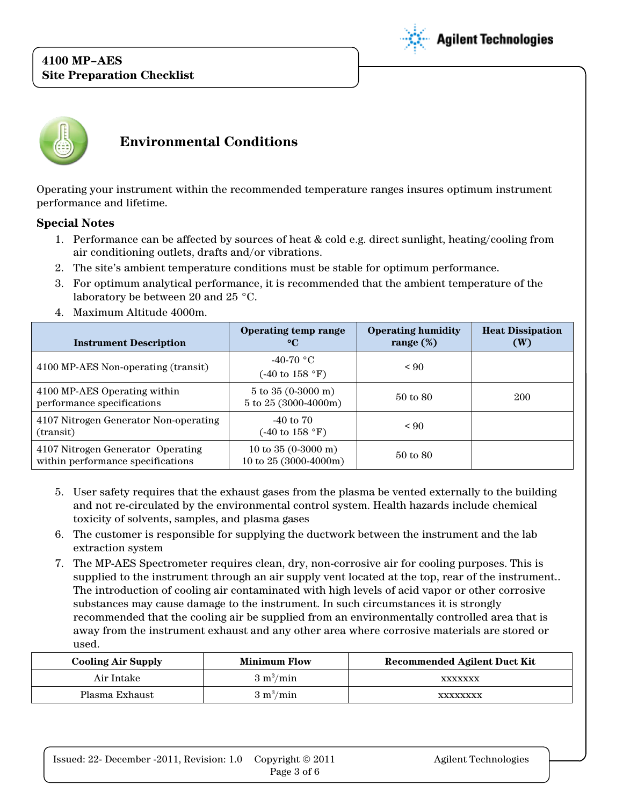### **4100 MP–AES Site Preparation Checklist**





## **Environmental Conditions**

Operating your instrument within the recommended temperature ranges insures optimum instrument performance and lifetime.

#### **Special Notes**

- 1. Performance can be affected by sources of heat & cold e.g. direct sunlight, heating/cooling from air conditioning outlets, drafts and/or vibrations.
- 2. The site's ambient temperature conditions must be stable for optimum performance.
- 3. For optimum analytical performance, it is recommended that the ambient temperature of the laboratory be between 20 and 25 °C.
- 4. Maximum Altitude 4000m.

| <b>Instrument Description</b>                                          | Operating temp range<br>$\rm ^{\circ}C$                       | <b>Operating humidity</b><br>range $(\%)$ | <b>Heat Dissipation</b><br>(W) |
|------------------------------------------------------------------------|---------------------------------------------------------------|-------------------------------------------|--------------------------------|
| 4100 MP-AES Non-operating (transit)                                    | $-40-70$ °C<br>$(-40 \text{ to } 158 \text{ °F})$             | ${}_{< 90}$                               |                                |
| 4100 MP-AES Operating within<br>performance specifications             | $5 \text{ to } 35 \text{ (0-3000 m)}$<br>5 to 25 (3000-4000m) | 50 to 80                                  | 200                            |
| 4107 Nitrogen Generator Non-operating<br>(transit)                     | $-40$ to $70$<br>$(-40 \text{ to } 158 \text{ °F})$           | < 90                                      |                                |
| 4107 Nitrogen Generator Operating<br>within performance specifications | 10 to $35(0-3000 \text{ m})$<br>10 to 25 (3000-4000m)         | 50 to 80                                  |                                |

- 5. User safety requires that the exhaust gases from the plasma be vented externally to the building and not re-circulated by the environmental control system. Health hazards include chemical toxicity of solvents, samples, and plasma gases
- 6. The customer is responsible for supplying the ductwork between the instrument and the lab extraction system
- 7. The MP-AES Spectrometer requires clean, dry, non-corrosive air for cooling purposes. This is supplied to the instrument through an air supply vent located at the top, rear of the instrument.. The introduction of cooling air contaminated with high levels of acid vapor or other corrosive substances may cause damage to the instrument. In such circumstances it is strongly recommended that the cooling air be supplied from an environmentally controlled area that is away from the instrument exhaust and any other area where corrosive materials are stored or used.

| <b>Cooling Air Supply</b> | <b>Minimum Flow</b>        | <b>Recommended Agilent Duct Kit</b> |
|---------------------------|----------------------------|-------------------------------------|
| Air Intake                | $3 \text{ m}^3/\text{min}$ | XXXXXXX                             |
| Plasma Exhaust            | $3 \text{ m}^3/\text{min}$ | XXXXXXXX                            |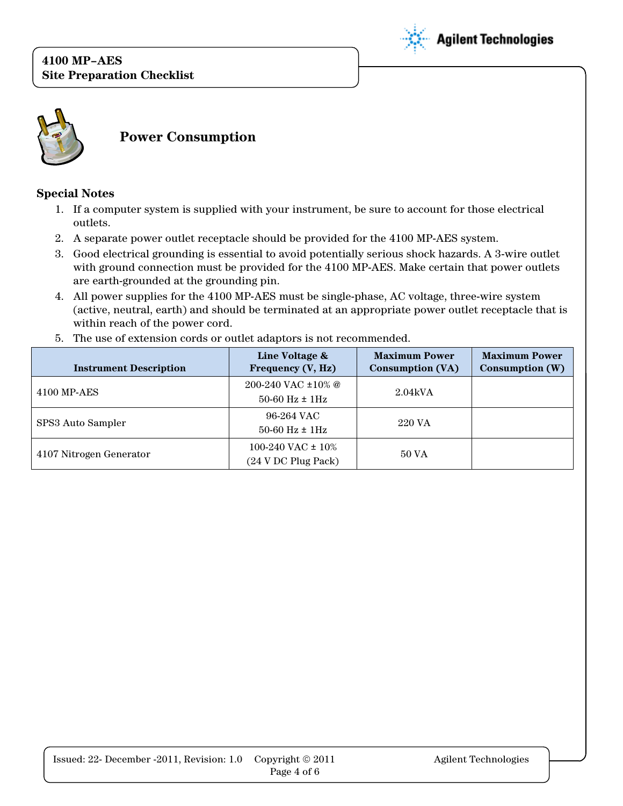



**Power Consumption**

#### **Special Notes**

- 1. If a computer system is supplied with your instrument, be sure to account for those electrical outlets.
- 2. A separate power outlet receptacle should be provided for the 4100 MP-AES system.
- 3. Good electrical grounding is essential to avoid potentially serious shock hazards. A 3-wire outlet with ground connection must be provided for the 4100 MP-AES. Make certain that power outlets are earth-grounded at the grounding pin.
- 4. All power supplies for the 4100 MP-AES must be single-phase, AC voltage, three-wire system (active, neutral, earth) and should be terminated at an appropriate power outlet receptacle that is within reach of the power cord.

|  |  | 5. The use of extension cords or outlet adaptors is not recommended. |
|--|--|----------------------------------------------------------------------|
|--|--|----------------------------------------------------------------------|

| <b>Instrument Description</b> | Line Voltage &<br>Frequency (V, Hz)                    | <b>Maximum Power</b><br>Consumption (VA) | <b>Maximum Power</b><br>Consumption $(W)$ |
|-------------------------------|--------------------------------------------------------|------------------------------------------|-------------------------------------------|
| 4100 MP-AES                   | 200-240 VAC $\pm 10\%$ @<br>$50-60$ Hz $\pm$ 1Hz       | 2.04kVA                                  |                                           |
| SPS3 Auto Sampler             | 96-264 VAC<br>$50-60$ Hz $\pm$ 1Hz                     | 220 VA                                   |                                           |
| 4107 Nitrogen Generator       | 100-240 VAC $\pm$ 10%<br>$(24 \text{ V DC Plug Pack})$ | 50 VA                                    |                                           |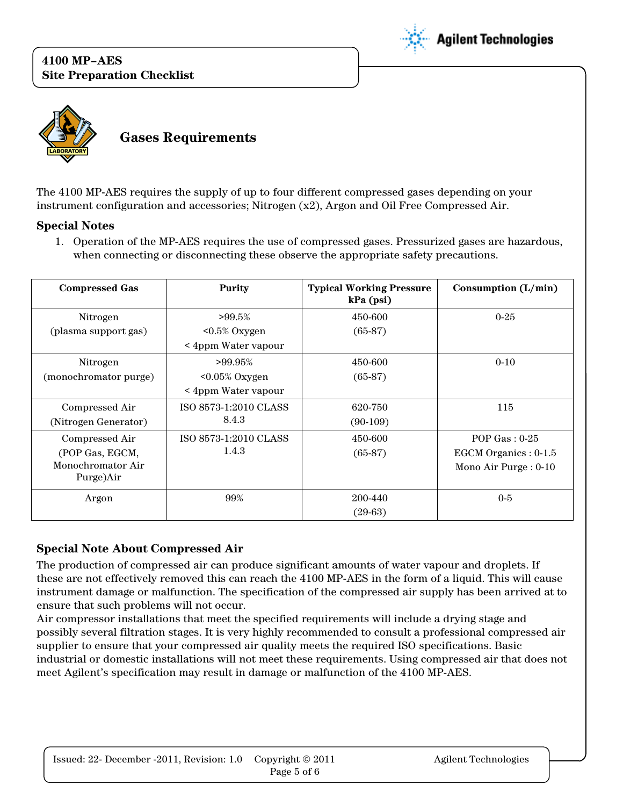



The 4100 MP-AES requires the supply of up to four different compressed gases depending on your instrument configuration and accessories; Nitrogen (x2), Argon and Oil Free Compressed Air.

#### **Special Notes**

1. Operation of the MP-AES requires the use of compressed gases. Pressurized gases are hazardous, when connecting or disconnecting these observe the appropriate safety precautions.

| <b>Compressed Gas</b> | Purity                | <b>Typical Working Pressure</b><br>$kPa$ (psi) | Consumption $(L/min)$   |
|-----------------------|-----------------------|------------------------------------------------|-------------------------|
| Nitrogen              | $>99.5\%$             | 450-600                                        | $0 - 25$                |
| (plasma support gas)  | $< 0.5\%$ Oxygen      | $(65-87)$                                      |                         |
|                       | < 4ppm Water vapour   |                                                |                         |
| Nitrogen              | $>99.95\%$            | 450-600                                        | $0 - 10$                |
| (monochromator purge) | $0.05\%$ Oxygen       | $(65-87)$                                      |                         |
|                       | < 4ppm Water vapour   |                                                |                         |
| Compressed Air        | ISO 8573-1:2010 CLASS | 620-750                                        | 115                     |
| (Nitrogen Generator)  | 8.4.3                 | $(90-109)$                                     |                         |
| Compressed Air        | ISO 8573-1:2010 CLASS | 450-600                                        | POP Gas: $0-25$         |
| (POP Gas, EGCM,       | 1.4.3                 | $(65-87)$                                      | EGCM Organics: 0-1.5    |
| Monochromator Air     |                       |                                                | Mono Air Purge : $0-10$ |
| Purge)Air             |                       |                                                |                         |
| Argon                 | 99%                   | 200-440                                        | $0 - 5$                 |
|                       |                       | $(29-63)$                                      |                         |

#### **Special Note About Compressed Air**

The production of compressed air can produce significant amounts of water vapour and droplets. If these are not effectively removed this can reach the 4100 MP-AES in the form of a liquid. This will cause instrument damage or malfunction. The specification of the compressed air supply has been arrived at to ensure that such problems will not occur.

Air compressor installations that meet the specified requirements will include a drying stage and possibly several filtration stages. It is very highly recommended to consult a professional compressed air supplier to ensure that your compressed air quality meets the required ISO specifications. Basic industrial or domestic installations will not meet these requirements. Using compressed air that does not meet Agilent's specification may result in damage or malfunction of the 4100 MP-AES.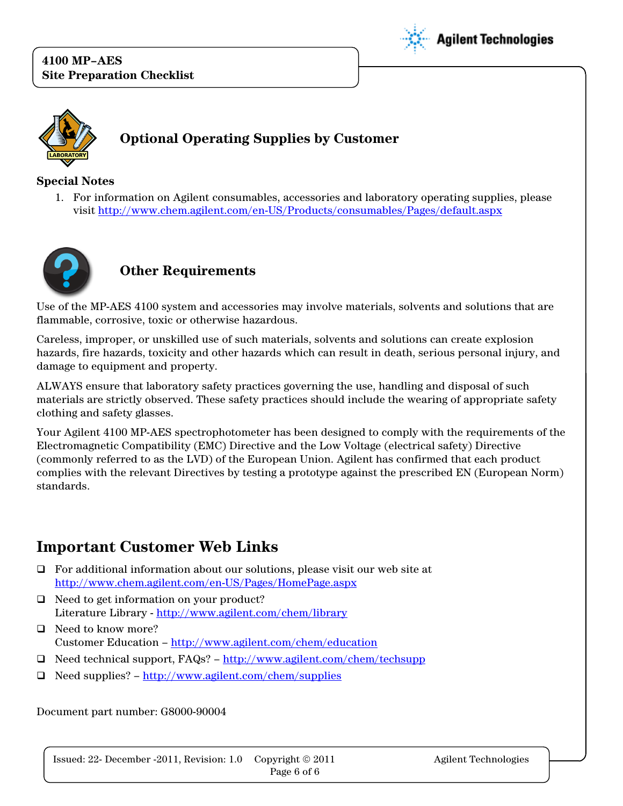



#### **Special Notes**

1. For information on Agilent consumables, accessories and laboratory operating supplies, please visit<http://www.chem.agilent.com/en-US/Products/consumables/Pages/default.aspx>



### **Other Requirements**

Use of the MP-AES 4100 system and accessories may involve materials, solvents and solutions that are flammable, corrosive, toxic or otherwise hazardous.

Careless, improper, or unskilled use of such materials, solvents and solutions can create explosion hazards, fire hazards, toxicity and other hazards which can result in death, serious personal injury, and damage to equipment and property.

ALWAYS ensure that laboratory safety practices governing the use, handling and disposal of such materials are strictly observed. These safety practices should include the wearing of appropriate safety clothing and safety glasses.

Your Agilent 4100 MP-AES spectrophotometer has been designed to comply with the requirements of the Electromagnetic Compatibility (EMC) Directive and the Low Voltage (electrical safety) Directive (commonly referred to as the LVD) of the European Union. Agilent has confirmed that each product complies with the relevant Directives by testing a prototype against the prescribed EN (European Norm) standards.

# **Important Customer Web Links**

- $\Box$  For additional information about our solutions, please visit our web site at <http://www.chem.agilent.com/en-US/Pages/HomePage.aspx>
- $\Box$  Need to get information on your product? Literature Library - <http://www.agilent.com/chem/library>
- □ Need to know more? Customer Education – <http://www.agilent.com/chem/education>
- $\Box$  Need technical support, FAQs? <http://www.agilent.com/chem/techsupp>
- $\Box$  Need supplies? <http://www.agilent.com/chem/supplies>

Document part number: G8000-90004

Copyright  $\odot$  2011 Issued: 22- December -2011, Revision: 1.0 Copyright  $\circledcirc$  2011 Agilent Technologies Page 6 of 6